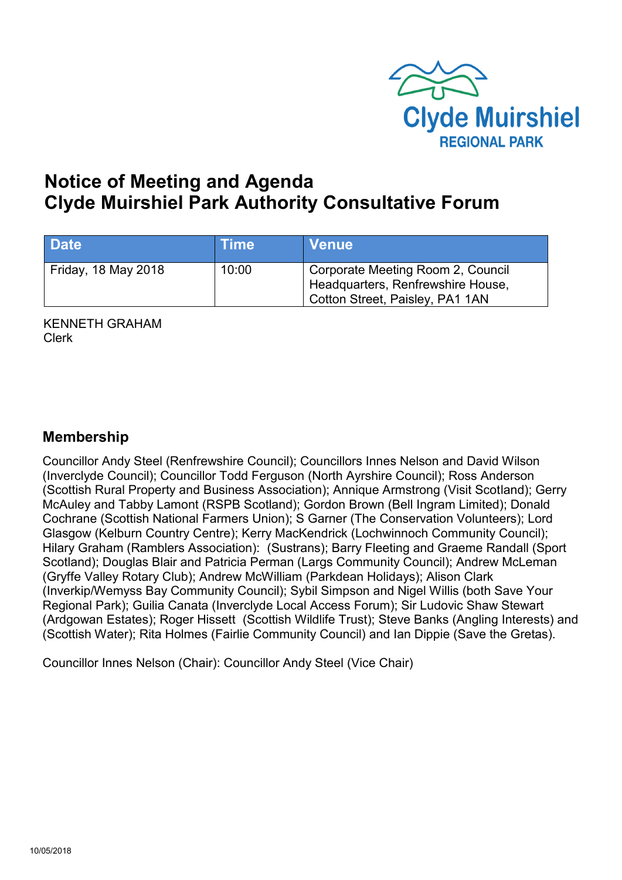

# **Notice of Meeting and Agenda Clyde Muirshiel Park Authority Consultative Forum**

| <b>Date</b>         | <b>Time</b> | <b>Venue</b>                                                                                              |
|---------------------|-------------|-----------------------------------------------------------------------------------------------------------|
| Friday, 18 May 2018 | 10:00       | Corporate Meeting Room 2, Council<br>Headquarters, Renfrewshire House,<br>Cotton Street, Paisley, PA1 1AN |

KENNETH GRAHAM Clerk

#### **Membership**

Councillor Andy Steel (Renfrewshire Council); Councillors Innes Nelson and David Wilson (Inverclyde Council); Councillor Todd Ferguson (North Ayrshire Council); Ross Anderson (Scottish Rural Property and Business Association); Annique Armstrong (Visit Scotland); Gerry McAuley and Tabby Lamont (RSPB Scotland); Gordon Brown (Bell Ingram Limited); Donald Cochrane (Scottish National Farmers Union); S Garner (The Conservation Volunteers); Lord Glasgow (Kelburn Country Centre); Kerry MacKendrick (Lochwinnoch Community Council); Hilary Graham (Ramblers Association): (Sustrans); Barry Fleeting and Graeme Randall (Sport Scotland); Douglas Blair and Patricia Perman (Largs Community Council); Andrew McLeman (Gryffe Valley Rotary Club); Andrew McWilliam (Parkdean Holidays); Alison Clark (Inverkip/Wemyss Bay Community Council); Sybil Simpson and Nigel Willis (both Save Your Regional Park); Guilia Canata (Inverclyde Local Access Forum); Sir Ludovic Shaw Stewart (Ardgowan Estates); Roger Hissett (Scottish Wildlife Trust); Steve Banks (Angling Interests) and (Scottish Water); Rita Holmes (Fairlie Community Council) and Ian Dippie (Save the Gretas).

Councillor Innes Nelson (Chair): Councillor Andy Steel (Vice Chair)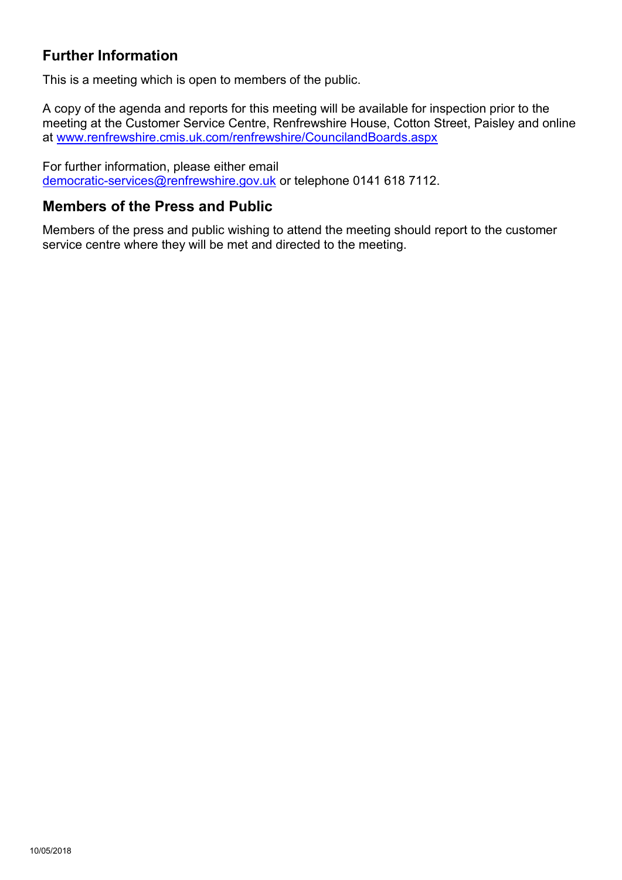# **Further Information**

This is a meeting which is open to members of the public.

A copy of the agenda and reports for this meeting will be available for inspection prior to the meeting at the Customer Service Centre, Renfrewshire House, Cotton Street, Paisley and online at [www.renfrewshire.cmis.uk.com/renfrewshire/CouncilandBoards.aspx](http://www.renfrewshire.cmis.uk.com/renfrewshire/CouncilandBoards.aspx)

For further information, please either email [democratic-services@renfrewshire.gov.uk](mailto:democratic-services@renfrewshire.gov.uk) or telephone 0141 618 7112.

#### **Members of the Press and Public**

Members of the press and public wishing to attend the meeting should report to the customer service centre where they will be met and directed to the meeting.